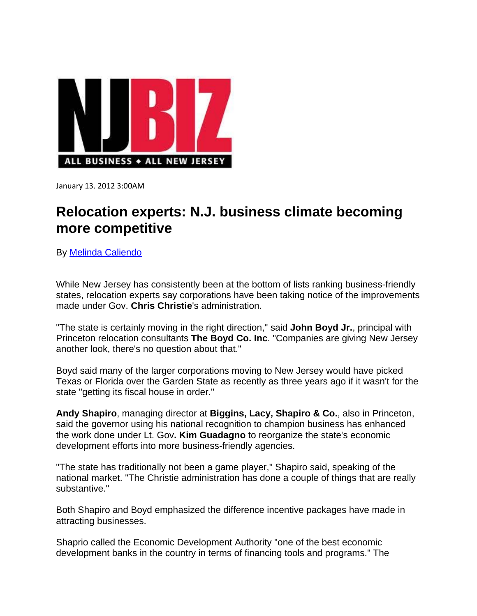

January 13. 2012 3:00AM

## **Relocation experts: N.J. business climate becoming more competitive**

By Melinda Caliendo

While New Jersey has consistently been at the bottom of lists ranking business-friendly states, relocation experts say corporations have been taking notice of the improvements made under Gov. **Chris Christie**'s administration.

"The state is certainly moving in the right direction," said **John Boyd Jr.**, principal with Princeton relocation consultants **The Boyd Co. Inc**. "Companies are giving New Jersey another look, there's no question about that."

Boyd said many of the larger corporations moving to New Jersey would have picked Texas or Florida over the Garden State as recently as three years ago if it wasn't for the state "getting its fiscal house in order."

**Andy Shapiro**, managing director at **Biggins, Lacy, Shapiro & Co.**, also in Princeton, said the governor using his national recognition to champion business has enhanced the work done under Lt. Gov**. Kim Guadagno** to reorganize the state's economic development efforts into more business-friendly agencies.

"The state has traditionally not been a game player," Shapiro said, speaking of the national market. "The Christie administration has done a couple of things that are really substantive."

Both Shapiro and Boyd emphasized the difference incentive packages have made in attracting businesses.

Shaprio called the Economic Development Authority "one of the best economic development banks in the country in terms of financing tools and programs." The